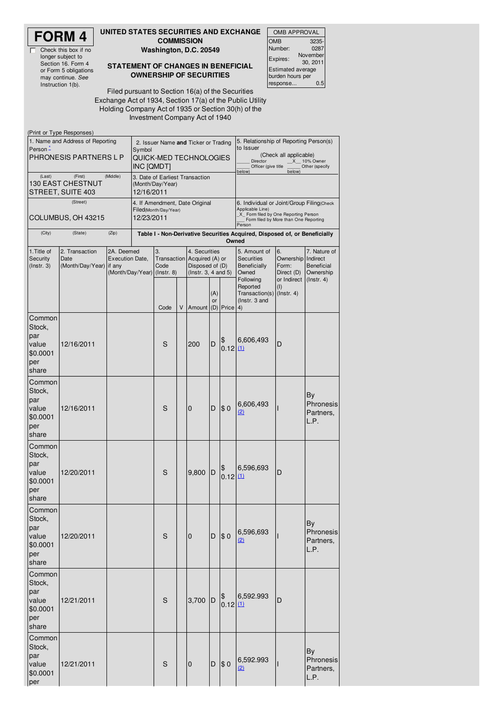# **FORM 4**

 $\overline{\mathbb{I}}$ 

Check this box if no longer subject to Section 16. Form 4 or Form 5 obligations may continue. *See* Instruction 1(b).

(Print or Type Responses)

#### **UNITED STATES SECURITIES AND EXCHANGE COMMISSION**

**Washington, D.C. 20549**

#### **STATEMENT OF CHANGES IN BENEFICIAL OWNERSHIP OF SECURITIES**

OMB APPROVAL OMB Number: 3235- 0287 Expires: November 30, 2011 Estimated average burden hours per response... 0.5

Filed pursuant to Section 16(a) of the Securities Exchange Act of 1934, Section 17(a) of the Public Utility Holding Company Act of 1935 or Section 30(h) of the Investment Company Act of 1940

| in the state of the state of the state of the state of the state of the state of the state of the state of the<br>1. Name and Address of Reporting<br>Person -<br>PHRONESIS PARTNERS L P | Symbol<br>INC [QMDT]                       | 2. Issuer Name and Ticker or Trading<br>QUICK-MED TECHNOLOGIES                |            |                                                         |   | 5. Relationship of Reporting Person(s)<br>to Issuer<br>(Check all applicable)<br>_X__ 10% Owner<br>Director<br>Officer (give title<br>Other (specify<br>below)<br>below) |                                                                                     |                                                                                          |                                                                                |                                                       |                                                                         |
|------------------------------------------------------------------------------------------------------------------------------------------------------------------------------------------|--------------------------------------------|-------------------------------------------------------------------------------|------------|---------------------------------------------------------|---|--------------------------------------------------------------------------------------------------------------------------------------------------------------------------|-------------------------------------------------------------------------------------|------------------------------------------------------------------------------------------|--------------------------------------------------------------------------------|-------------------------------------------------------|-------------------------------------------------------------------------|
| (Last)<br>130 EAST CHESTNUT<br>STREET, SUITE 403                                                                                                                                         | 12/16/2011                                 | 3. Date of Earliest Transaction<br>(Month/Day/Year)                           |            |                                                         |   |                                                                                                                                                                          |                                                                                     |                                                                                          |                                                                                |                                                       |                                                                         |
|                                                                                                                                                                                          | (Street)                                   |                                                                               |            | 4. If Amendment, Date Original<br>Filed(Month/Day/Year) |   |                                                                                                                                                                          |                                                                                     |                                                                                          | 6. Individual or Joint/Group Filing Check<br>Applicable Line)                  |                                                       |                                                                         |
|                                                                                                                                                                                          | COLUMBUS, OH 43215                         |                                                                               | 12/23/2011 |                                                         |   |                                                                                                                                                                          |                                                                                     | X_ Form filed by One Reporting Person<br>Form filed by More than One Reporting<br>Person |                                                                                |                                                       |                                                                         |
| (City)                                                                                                                                                                                   | (State)                                    | (Zip)                                                                         |            |                                                         |   |                                                                                                                                                                          | Table I - Non-Derivative Securities Acquired, Disposed of, or Beneficially<br>Owned |                                                                                          |                                                                                |                                                       |                                                                         |
| 1. Title of<br>Security<br>$($ lnstr. 3 $)$                                                                                                                                              | 2. Transaction<br>Date<br>(Month/Day/Year) | 2A. Deemed<br><b>Execution Date,</b><br>if any<br>(Month/Day/Year) (Instr. 8) |            | 3.<br>Code                                              |   | 4. Securities<br>Transaction Acquired (A) or<br>Disposed of (D)<br>(Instr. 3, 4 and 5)                                                                                   |                                                                                     |                                                                                          | 5. Amount of<br><b>Securities</b><br><b>Beneficially</b><br>Owned<br>Following | 6.<br>Ownership<br>Form:<br>Direct (D)<br>or Indirect | 7. Nature of<br>Indirect<br>Beneficial<br>Ownership<br>$($ Instr. 4 $)$ |
|                                                                                                                                                                                          |                                            |                                                                               |            | Code                                                    | V | Amount (D) Price 4)                                                                                                                                                      | (A)<br>or                                                                           |                                                                                          | Reported<br>Transaction(s) (Instr. 4)<br>(Instr. 3 and                         | (1)                                                   |                                                                         |
| Common<br>Stock,<br>par<br>value<br>\$0.0001<br>per<br>share                                                                                                                             | 12/16/2011                                 |                                                                               |            | S                                                       |   | 200                                                                                                                                                                      | D                                                                                   | \$<br>0.12(1)                                                                            | 6,606,493                                                                      | D                                                     |                                                                         |
| Common<br>Stock,<br>par<br>value<br>\$0.0001<br>per<br>share                                                                                                                             | 12/16/2011                                 |                                                                               |            |                                                         |   | 0                                                                                                                                                                        | D                                                                                   | \$0                                                                                      | 6,606,493<br><u>(2)</u>                                                        |                                                       | By<br>Phronesis<br>Partners,<br>L.P.                                    |
| Common<br>Stock,<br>par<br>value<br>\$0.0001<br>per<br>share                                                                                                                             | 12/20/2011                                 |                                                                               |            | S                                                       |   | 9,800                                                                                                                                                                    | D                                                                                   | \$<br>0.12   11                                                                          | 6,596,693                                                                      | D                                                     |                                                                         |
| Common<br>Stock,<br>par<br>value<br>\$0.0001<br>per<br>share                                                                                                                             | 12/20/2011                                 |                                                                               |            | S                                                       |   | $\mathbf 0$                                                                                                                                                              | D                                                                                   | \$0                                                                                      | 6,596,693<br>(2)                                                               |                                                       | By<br>Phronesis<br>Partners,<br>L.P.                                    |
| Common<br>Stock,<br>par<br>value<br>\$0.0001<br>per<br>share                                                                                                                             | 12/21/2011                                 |                                                                               |            | S                                                       |   | 3,700                                                                                                                                                                    | D                                                                                   | \$<br>0.12   11                                                                          | 6,592.993                                                                      | D                                                     |                                                                         |
| Common<br>Stock,<br>par<br>value<br>\$0.0001<br>per                                                                                                                                      | 12/21/2011                                 |                                                                               |            | S                                                       |   | 0                                                                                                                                                                        | D                                                                                   | \$0                                                                                      | 6,592.993<br>(2)                                                               | ı                                                     | By<br>Phronesis<br>Partners,<br>L.P.                                    |